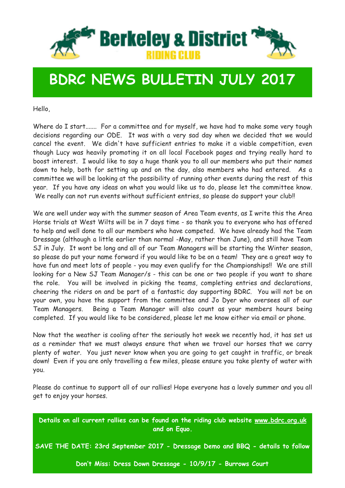

### **BDRC NEWS BULLETIN JULY 2017**

Hello,

Where do I start....... For a committee and for myself, we have had to make some very tough decisions regarding our ODE. It was with a very sad day when we decided that we would cancel the event. We didn't have sufficient entries to make it a viable competition, even though Lucy was heavily promoting it on all local Facebook pages and trying really hard to boost interest. I would like to say a huge thank you to all our members who put their names down to help, both for setting up and on the day, also members who had entered. As a committee we will be looking at the possibility of running other events during the rest of this year. If you have any ideas on what you would like us to do, please let the committee know. We really can not run events without sufficient entries, so please do support your club!!

We are well under way with the summer season of Area Team events, as I write this the Area Horse trials at West Wilts will be in 7 days time - so thank you to everyone who has offered to help and well done to all our members who have competed. We have already had the Team Dressage (although a little earlier than normal -May, rather than June), and still have Team SJ in July. It wont be long and all of our Team Managers will be starting the Winter season, so please do put your name forward if you would like to be on a team! They are a great way to have fun and meet lots of people - you may even qualify for the Championships!! We are still looking for a New SJ Team Manager/s - this can be one or two people if you want to share the role. You will be involved in picking the teams, completing entries and declarations, cheering the riders on and be part of a fantastic day supporting BDRC. You will not be on your own, you have the support from the committee and Jo Dyer who oversees all of our Team Managers. Being a Team Manager will also count as your members hours being completed. If you would like to be considered, please let me know either via email or phone.

Now that the weather is cooling after the seriously hot week we recently had, it has set us as a reminder that we must always ensure that when we travel our horses that we carry plenty of water. You just never know when you are going to get caught in traffic, or break down! Even if you are only travelling a few miles, please ensure you take plenty of water with you.

Please do continue to support all of our rallies! Hope everyone has a lovely summer and you all get to enjoy your horses.

**Details on all current rallies can be found on the riding club website [www.bdrc.org.uk](http://www.bdrc.org.uk) and on Equo.** 

**SAVE THE DATE: 23rd September 2017 - Dressage Demo and BBQ - details to follow** 

**Don't Miss: Dress Down Dressage - 10/9/17 - Burrows Court**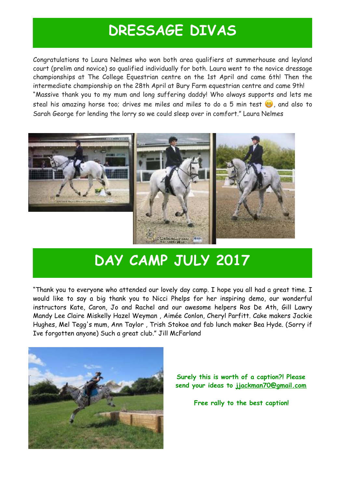#### **DRESSAGE DIVAS**

Congratulations to Laura Nelmes who won both area qualifiers at summerhouse and leyland court (prelim and novice) so qualified individually for both. Laura went to the novice dressage championships at The College Equestrian centre on the 1st April and came 6th! Then the intermediate championship on the 28th April at Bury Farm equestrian centre and came 9th! "Massive thank you to my mum and long suffering daddy! Who always supports and lets me steal his amazing horse too; drives me miles and miles to do a 5 min test  $\ddot{\bullet}$ , and also to Sarah George for lending the lorry so we could sleep over in comfort." Laura Nelmes



# **DAY CAMP JULY 2017**

"Thank you to everyone who attended our lovely day camp. I hope you all had a great time. I would like to say a big thank you to [Nicci Phelps](https://www.facebook.com/nicci.phelps.1?fref=mentions) for her inspiring demo, our wonderful instructors Kate, Caron, Jo and Rachel and our awesome helpers Ros De Ath, [Gill Lawry](https://www.facebook.com/profile.php?id=100013306354879&fref=mentions)  [Mandy Lee](https://www.facebook.com/profile.php?id=100007533552346&fref=mentions) [Claire Miskelly](https://www.facebook.com/claire.miskelly.773?fref=mentions) [Hazel Weyman](https://www.facebook.com/hazel.weyman?fref=mentions) , [Aimée Conlon](https://www.facebook.com/aimeelouiseconlon?fref=mentions), [Cheryl Parfitt.](https://www.facebook.com/cheryl.parfitt?fref=mentions) Cake makers [Jackie](https://www.facebook.com/jackie.hughes.5688?fref=mentions)  [Hughes](https://www.facebook.com/jackie.hughes.5688?fref=mentions), [Mel Tegg](https://www.facebook.com/mel.tegg?fref=mentions)'s mum, [Ann Taylor](https://www.facebook.com/ann.taylor.7547031?fref=mentions) , [Trish Stokoe](https://www.facebook.com/trish.stokoe.3?fref=mentions) and fab lunch maker [Bea Hyde](https://www.facebook.com/bea.harford?fref=mentions). (Sorry if Ive forgotten anyone) Such a great club." Jill McFarland



**Surely this is worth of a caption?! Please send your ideas to [jjackman70@gmail.com](mailto:jjackman70@gmail.com)**

**Free rally to the best caption!**